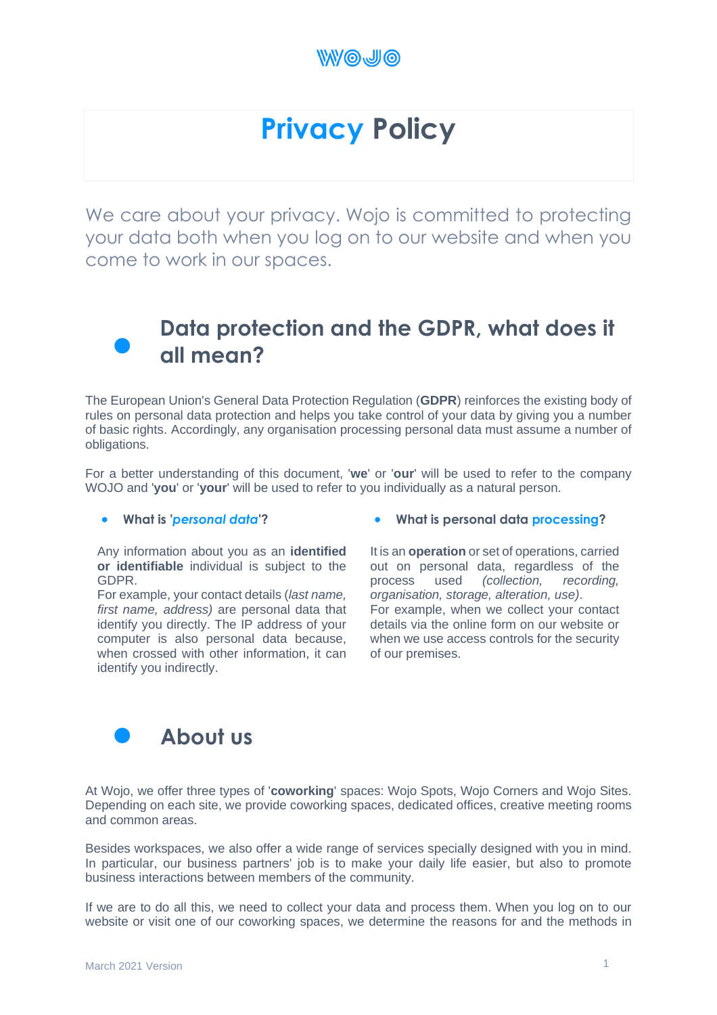

# **Privacy Policy**

We care about your privacy. Wojo is committed to protecting your data both when you log on to our website and when you come to work in our spaces.



### **Data protection and the GDPR, what does it all mean?**

The European Union's General Data Protection Regulation (**GDPR**) reinforces the existing body of rules on personal data protection and helps you take control of your data by giving you a number of basic rights. Accordingly, any organisation processing personal data must assume a number of obligations.

For a better understanding of this document, '**we**' or '**our**' will be used to refer to the company WOJO and '**you**' or '**your**' will be used to refer to you individually as a natural person.

#### • **What is '***personal data***'?**

Any information about you as an **identified or identifiable** individual is subject to the GDPR.

For example, your contact details (*last name, first name, address)* are personal data that identify you directly. The IP address of your computer is also personal data because, when crossed with other information, it can identify you indirectly.

#### • **What is personal data processing?**

It is an **operation** or set of operations, carried out on personal data, regardless of the process used *(collection, recording, organisation, storage, alteration, use)*. For example, when we collect your contact details via the online form on our website or when we use access controls for the security of our premises.



At Wojo, we offer three types of '**coworking**' spaces: Wojo Spots, Wojo Corners and Wojo Sites. Depending on each site, we provide coworking spaces, dedicated offices, creative meeting rooms and common areas.

Besides workspaces, we also offer a wide range of services specially designed with you in mind. In particular, our business partners' job is to make your daily life easier, but also to promote business interactions between members of the community.

If we are to do all this, we need to collect your data and process them. When you log on to our website or visit one of our coworking spaces, we determine the reasons for and the methods in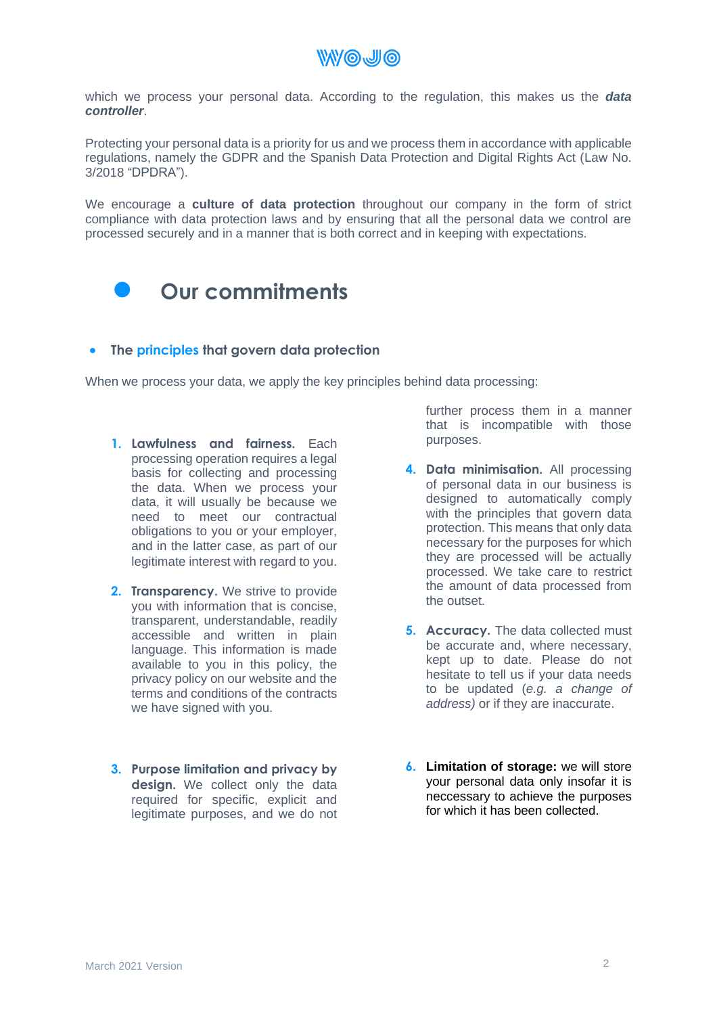**WWOJO** 

which we process your personal data. According to the regulation, this makes us the *data controller*.

Protecting your personal data is a priority for us and we process them in accordance with applicable regulations, namely the GDPR and the Spanish Data Protection and Digital Rights Act (Law No. 3/2018 "DPDRA").

We encourage a **culture of data protection** throughout our company in the form of strict compliance with data protection laws and by ensuring that all the personal data we control are processed securely and in a manner that is both correct and in keeping with expectations.



#### • **The principles that govern data protection**

When we process your data, we apply the key principles behind data processing:

- **1. Lawfulness and fairness.** Each processing operation requires a legal basis for collecting and processing the data. When we process your data, it will usually be because we need to meet our contractual obligations to you or your employer, and in the latter case, as part of our legitimate interest with regard to you.
- **2. Transparency.** We strive to provide you with information that is concise, transparent, understandable, readily accessible and written in plain language. This information is made available to you in this policy, the privacy policy on our website and the terms and conditions of the contracts we have signed with you.
- **3. Purpose limitation and privacy by design.** We collect only the data required for specific, explicit and legitimate purposes, and we do not

further process them in a manner that is incompatible with those purposes.

- **4. Data minimisation.** All processing of personal data in our business is designed to automatically comply with the principles that govern data protection. This means that only data necessary for the purposes for which they are processed will be actually processed. We take care to restrict the amount of data processed from the outset.
- **5. Accuracy.** The data collected must be accurate and, where necessary, kept up to date. Please do not hesitate to tell us if your data needs to be updated (*e.g. a change of address)* or if they are inaccurate.
- **6. Limitation of storage:** we will store your personal data only insofar it is neccessary to achieve the purposes for which it has been collected.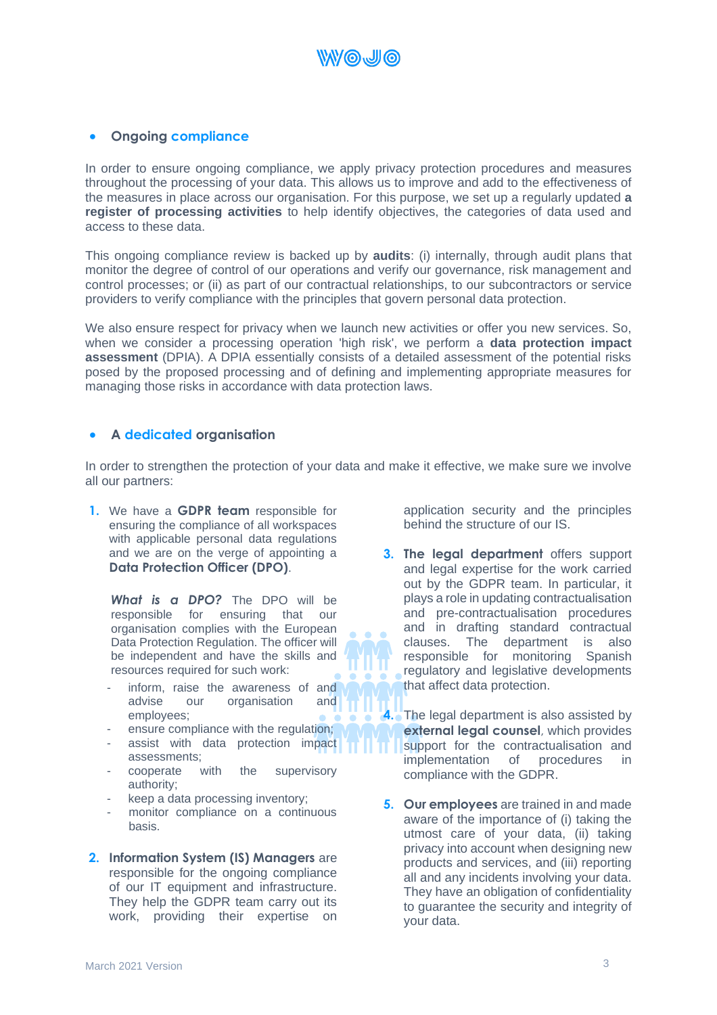

#### • **Ongoing compliance**

In order to ensure ongoing compliance, we apply privacy protection procedures and measures throughout the processing of your data. This allows us to improve and add to the effectiveness of the measures in place across our organisation. For this purpose, we set up a regularly updated **a register of processing activities** to help identify objectives, the categories of data used and access to these data.

This ongoing compliance review is backed up by **audits**: (i) internally, through audit plans that monitor the degree of control of our operations and verify our governance, risk management and control processes; or (ii) as part of our contractual relationships, to our subcontractors or service providers to verify compliance with the principles that govern personal data protection.

We also ensure respect for privacy when we launch new activities or offer you new services. So, when we consider a processing operation 'high risk', we perform a **data protection impact assessment** (DPIA). A DPIA essentially consists of a detailed assessment of the potential risks posed by the proposed processing and of defining and implementing appropriate measures for managing those risks in accordance with data protection laws.

#### • **A dedicated organisation**

In order to strengthen the protection of your data and make it effective, we make sure we involve all our partners:

**1.** We have a **GDPR team** responsible for ensuring the compliance of all workspaces with applicable personal data regulations and we are on the verge of appointing a **Data Protection Officer (DPO)**.

*What is a DPO?* The DPO will be responsible for ensuring that our organisation complies with the European Data Protection Regulation. The officer will be independent and have the skills and resources required for such work:

- inform, raise the awareness of and advise our organisation and employees;
- ensure compliance with the regulation;
- assist with data protection impact assessments;
- cooperate with the supervisory authority;
- keep a data processing inventory;
- monitor compliance on a continuous basis.
- **2. Information System (IS) Managers** are responsible for the ongoing compliance of our IT equipment and infrastructure. They help the GDPR team carry out its work, providing their expertise on

application security and the principles behind the structure of our IS.

**3. The legal department** offers support and legal expertise for the work carried out by the GDPR team. In particular, it plays a role in updating contractualisation and pre-contractualisation procedures and in drafting standard contractual clauses. The department is also responsible for monitoring Spanish regulatory and legislative developments that affect data protection.

**4.** The legal department is also assisted by **external legal counsel**, which provides support for the contractualisation and implementation of procedures in compliance with the GDPR.

**5. Our employees** are trained in and made aware of the importance of (i) taking the utmost care of your data, (ii) taking privacy into account when designing new products and services, and (iii) reporting all and any incidents involving your data. They have an obligation of confidentiality to guarantee the security and integrity of your data.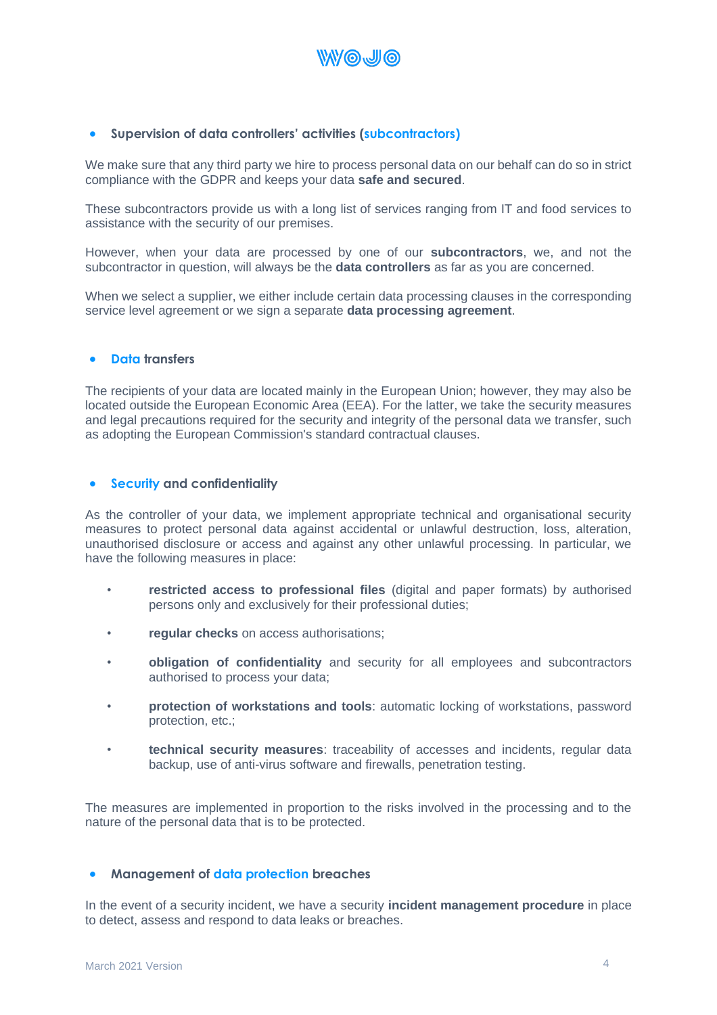

#### • **Supervision of data controllers' activities (subcontractors)**

We make sure that any third party we hire to process personal data on our behalf can do so in strict compliance with the GDPR and keeps your data **safe and secured**.

These subcontractors provide us with a long list of services ranging from IT and food services to assistance with the security of our premises.

However, when your data are processed by one of our **subcontractors**, we, and not the subcontractor in question, will always be the **data controllers** as far as you are concerned.

When we select a supplier, we either include certain data processing clauses in the corresponding service level agreement or we sign a separate **data processing agreement**.

#### • **Data transfers**

The recipients of your data are located mainly in the European Union; however, they may also be located outside the European Economic Area (EEA). For the latter, we take the security measures and legal precautions required for the security and integrity of the personal data we transfer, such as adopting the European Commission's standard contractual clauses.

#### • **Security and confidentiality**

As the controller of your data, we implement appropriate technical and organisational security measures to protect personal data against accidental or unlawful destruction, loss, alteration, unauthorised disclosure or access and against any other unlawful processing. In particular, we have the following measures in place:

- **restricted access to professional files** (digital and paper formats) by authorised persons only and exclusively for their professional duties;
- **regular checks** on access authorisations;
- **obligation of confidentiality** and security for all employees and subcontractors authorised to process your data;
- **protection of workstations and tools**: automatic locking of workstations, password protection, etc.;
- **technical security measures**: traceability of accesses and incidents, regular data backup, use of anti-virus software and firewalls, penetration testing.

The measures are implemented in proportion to the risks involved in the processing and to the nature of the personal data that is to be protected.

#### • **Management of data protection breaches**

In the event of a security incident, we have a security **incident management procedure** in place to detect, assess and respond to data leaks or breaches.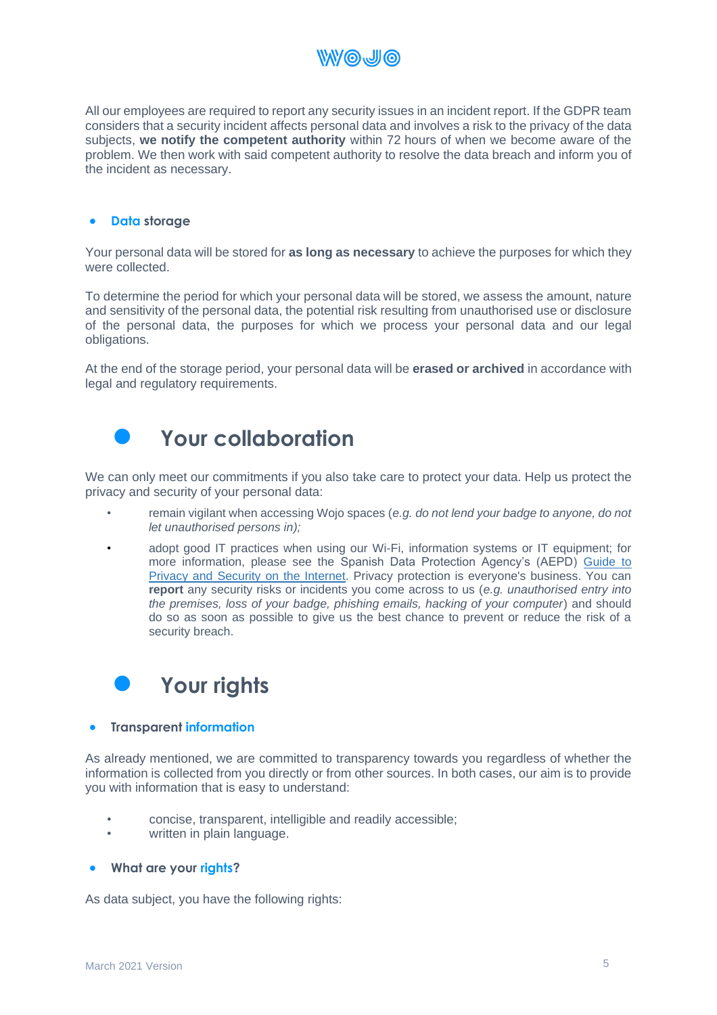

All our employees are required to report any security issues in an incident report. If the GDPR team considers that a security incident affects personal data and involves a risk to the privacy of the data subjects, **we notify the competent authority** within 72 hours of when we become aware of the problem. We then work with said competent authority to resolve the data breach and inform you of the incident as necessary.

#### • **Data storage**

Your personal data will be stored for **as long as necessary** to achieve the purposes for which they were collected.

To determine the period for which your personal data will be stored, we assess the amount, nature and sensitivity of the personal data, the potential risk resulting from unauthorised use or disclosure of the personal data, the purposes for which we process your personal data and our legal obligations.

At the end of the storage period, your personal data will be **erased or archived** in accordance with legal and regulatory requirements.



### • **Your collaboration**

We can only meet our commitments if you also take care to protect your data. Help us protect the privacy and security of your personal data:

- remain vigilant when accessing Wojo spaces (*e.g. do not lend your badge to anyone, do not let unauthorised persons in);*
- adopt good IT practices when using our Wi-Fi, information systems or IT equipment; for more information, please see the Spanish Data Protection Agency's (AEPD) Guide to Privacy and Security on the Internet. Privacy protection is everyone's business. You can **report** any security risks or incidents you come across to us (*e.g. unauthorised entry into the premises, loss of your badge, phishing emails, hacking of your computer*) and should do so as soon as possible to give us the best chance to prevent or reduce the risk of a security breach.



#### • **Transparent information**

As already mentioned, we are committed to transparency towards you regardless of whether the information is collected from you directly or from other sources. In both cases, our aim is to provide you with information that is easy to understand:

- concise, transparent, intelligible and readily accessible;
- written in plain language.

#### • **What are your rights?**

As data subject, you have the following rights: